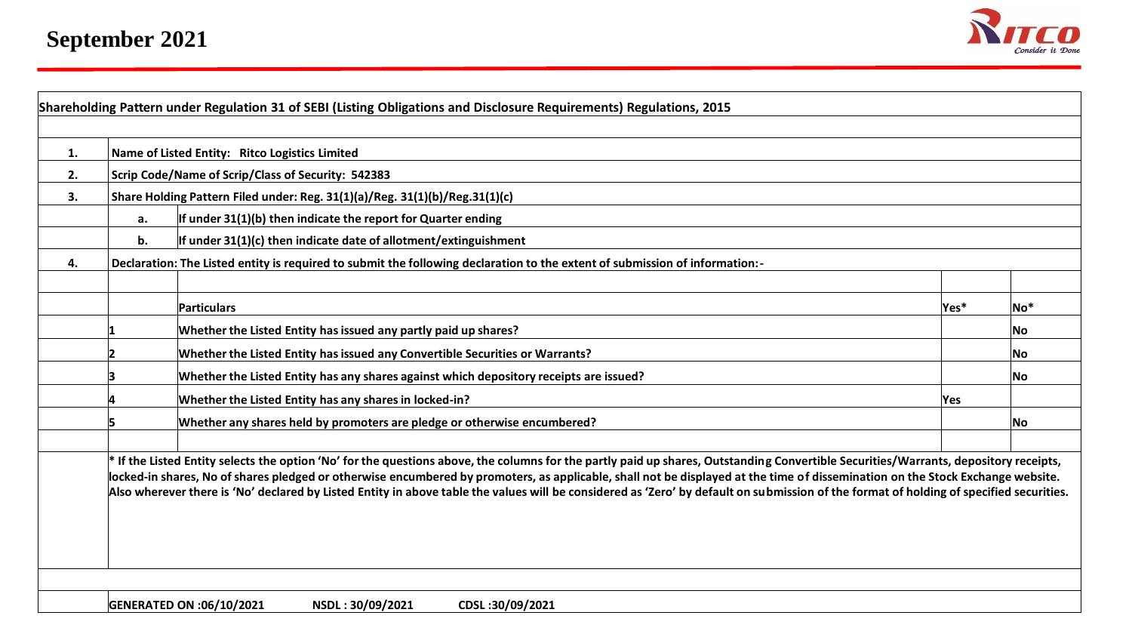

| 1. |    | Name of Listed Entity: Ritco Logistics Limited                                                                                                                                                                                                                                                                                                                                                                                                                                                                                                                    |      |       |  |  |  |  |  |  |  |  |  |
|----|----|-------------------------------------------------------------------------------------------------------------------------------------------------------------------------------------------------------------------------------------------------------------------------------------------------------------------------------------------------------------------------------------------------------------------------------------------------------------------------------------------------------------------------------------------------------------------|------|-------|--|--|--|--|--|--|--|--|--|
| 2. |    | Scrip Code/Name of Scrip/Class of Security: 542383                                                                                                                                                                                                                                                                                                                                                                                                                                                                                                                |      |       |  |  |  |  |  |  |  |  |  |
| 3. |    | Share Holding Pattern Filed under: Reg. 31(1)(a)/Reg. 31(1)(b)/Reg.31(1)(c)                                                                                                                                                                                                                                                                                                                                                                                                                                                                                       |      |       |  |  |  |  |  |  |  |  |  |
|    | а. | If under 31(1)(b) then indicate the report for Quarter ending                                                                                                                                                                                                                                                                                                                                                                                                                                                                                                     |      |       |  |  |  |  |  |  |  |  |  |
|    | b. | If under $31(1)(c)$ then indicate date of allotment/extinguishment                                                                                                                                                                                                                                                                                                                                                                                                                                                                                                |      |       |  |  |  |  |  |  |  |  |  |
| 4. |    | Declaration: The Listed entity is required to submit the following declaration to the extent of submission of information:-                                                                                                                                                                                                                                                                                                                                                                                                                                       |      |       |  |  |  |  |  |  |  |  |  |
|    |    |                                                                                                                                                                                                                                                                                                                                                                                                                                                                                                                                                                   |      |       |  |  |  |  |  |  |  |  |  |
|    |    | Particulars                                                                                                                                                                                                                                                                                                                                                                                                                                                                                                                                                       | Yes* | $No*$ |  |  |  |  |  |  |  |  |  |
|    |    | Whether the Listed Entity has issued any partly paid up shares?                                                                                                                                                                                                                                                                                                                                                                                                                                                                                                   |      | No.   |  |  |  |  |  |  |  |  |  |
|    |    | Whether the Listed Entity has issued any Convertible Securities or Warrants?                                                                                                                                                                                                                                                                                                                                                                                                                                                                                      |      | No.   |  |  |  |  |  |  |  |  |  |
|    |    | Whether the Listed Entity has any shares against which depository receipts are issued?                                                                                                                                                                                                                                                                                                                                                                                                                                                                            |      | No.   |  |  |  |  |  |  |  |  |  |
|    |    | Whether the Listed Entity has any shares in locked-in?                                                                                                                                                                                                                                                                                                                                                                                                                                                                                                            | Yes. |       |  |  |  |  |  |  |  |  |  |
|    |    | Whether any shares held by promoters are pledge or otherwise encumbered?                                                                                                                                                                                                                                                                                                                                                                                                                                                                                          |      | No    |  |  |  |  |  |  |  |  |  |
|    |    | * If the Listed Entity selects the option 'No' for the questions above, the columns for the partly paid up shares, Outstanding Convertible Securities/Warrants, depository receipts,<br>locked-in shares, No of shares pledged or otherwise encumbered by promoters, as applicable, shall not be displayed at the time of dissemination on the Stock Exchange website.<br>Also wherever there is 'No' declared by Listed Entity in above table the values will be considered as 'Zero' by default on submission of the format of holding of specified securities. |      |       |  |  |  |  |  |  |  |  |  |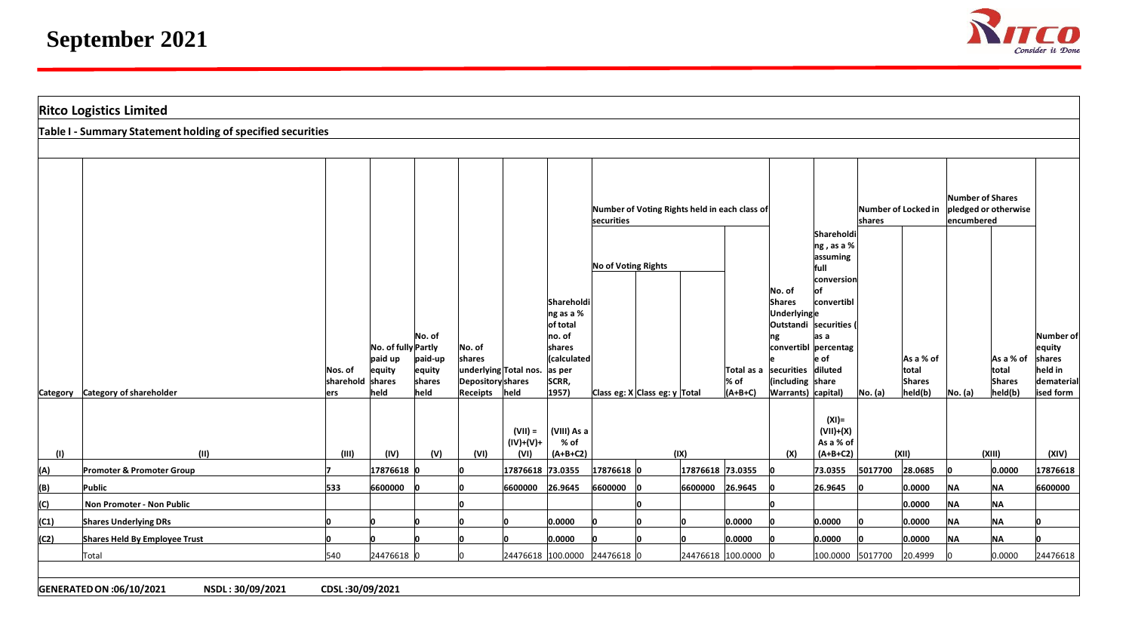

|      | <b>Ritco Logistics Limited</b>                              |                                     |                                                  |                                               |                                                       |                                  |                                                                                                        |                                                      |                  |                                                       |                                                                                        |                                                                                                                                                        |                               |                                                |                                |                                         |                                                                     |
|------|-------------------------------------------------------------|-------------------------------------|--------------------------------------------------|-----------------------------------------------|-------------------------------------------------------|----------------------------------|--------------------------------------------------------------------------------------------------------|------------------------------------------------------|------------------|-------------------------------------------------------|----------------------------------------------------------------------------------------|--------------------------------------------------------------------------------------------------------------------------------------------------------|-------------------------------|------------------------------------------------|--------------------------------|-----------------------------------------|---------------------------------------------------------------------|
|      | Table I - Summary Statement holding of specified securities |                                     |                                                  |                                               |                                                       |                                  |                                                                                                        |                                                      |                  |                                                       |                                                                                        |                                                                                                                                                        |                               |                                                |                                |                                         |                                                                     |
|      |                                                             |                                     |                                                  |                                               |                                                       |                                  |                                                                                                        |                                                      |                  |                                                       |                                                                                        |                                                                                                                                                        |                               |                                                |                                |                                         |                                                                     |
|      |                                                             |                                     |                                                  |                                               |                                                       |                                  |                                                                                                        | securities                                           |                  | Number of Voting Rights held in each class of         |                                                                                        |                                                                                                                                                        | Number of Locked in<br>shares |                                                | Number of Shares<br>encumbered | pledged or otherwise                    |                                                                     |
|      | Category Category of shareholder                            | Nos. of<br>sharehold shares<br>lers | No. of fully Partly<br>paid up<br>equity<br>held | No. of<br>paid-up<br>equity<br>shares<br>held | No. of<br>shares<br>Depositoryshares<br>Receipts held | underlying Total nos.            | Shareholdi<br>$\ln g$ as a %<br>of total<br>no. of<br>shares<br>(calculated<br>as per<br>SCRR,<br>1957 | No of Voting Rights<br>Class eg: X Class eg: y Total |                  | Total as a securities diluted<br>$\%$ of<br>$(A+B+C)$ | No. of<br><b>Shares</b><br>Underlyinge<br>ng<br>(including share<br>Warrants) capital) | Shareholdi<br>$ $ ng, as a %<br>assuming<br>full<br>conversion<br>lof<br>convertibl<br>Outstandi  securities (<br>as a<br>convertibl percentag<br>e of | No. (a)                       | As a % of<br>total<br><b>Shares</b><br>held(b) | No. (a)                        | As a % of<br>total<br>Shares<br>held(b) | Number of<br>equity<br>shares<br>held in<br>dematerial<br>ised form |
| (1)  | (11)                                                        | (III)                               | (IV)                                             | (V)                                           | (VI)                                                  | $(VII) =$<br>$(IV)+(V)+$<br>(VI) | (VIII) As a<br>% of<br>$(A+B+C2)$                                                                      |                                                      | (IX)             |                                                       | (X)                                                                                    | $(XI)$ =<br>$(VII)+(X)$<br>As a % of<br>$(A+B+C2)$                                                                                                     |                               | (XII)                                          |                                | (XIII)                                  | (XIV)                                                               |
| (A)  | Promoter & Promoter Group                                   |                                     | 17876618                                         |                                               | ın                                                    | 17876618 73.0355                 |                                                                                                        | $17876618$ 0                                         | 17876618 73.0355 |                                                       |                                                                                        | 73.0355                                                                                                                                                | 5017700                       | 28.0685                                        |                                | 0.0000                                  | 17876618                                                            |
| (B)  | Public                                                      | 533                                 | 6600000                                          |                                               |                                                       | 6600000                          | 26.9645                                                                                                | 6600000                                              | 6600000 26.9645  |                                                       |                                                                                        | 26.9645                                                                                                                                                |                               | 0.0000                                         | <b>NA</b>                      | <b>NA</b>                               | 6600000                                                             |
| (C)  | Non Promoter - Non Public                                   |                                     |                                                  |                                               |                                                       |                                  |                                                                                                        |                                                      |                  |                                                       |                                                                                        |                                                                                                                                                        |                               | 0.0000                                         | <b>NA</b>                      | <b>NA</b>                               |                                                                     |
| (C1) | <b>Shares Underlying DRs</b>                                |                                     |                                                  |                                               |                                                       |                                  | 0.0000                                                                                                 |                                                      | In               | 0.0000                                                |                                                                                        | 0.0000                                                                                                                                                 |                               | 0.0000                                         | <b>NA</b>                      | <b>NA</b>                               |                                                                     |
| (C2) | Shares Held By Employee Trust                               |                                     |                                                  |                                               |                                                       |                                  | 0.0000                                                                                                 |                                                      | In               | 0.0000                                                |                                                                                        | 0.0000                                                                                                                                                 |                               | 0.0000                                         | <b>NA</b>                      | <b>NA</b>                               |                                                                     |
|      | Total                                                       | 540                                 | 24476618                                         |                                               |                                                       |                                  | 24476618 100.0000 24476618 0                                                                           |                                                      |                  | 24476618 100.0000                                     |                                                                                        | 100.0000 5017700                                                                                                                                       |                               | 20.4999                                        |                                | 0.0000                                  | 24476618                                                            |
|      |                                                             |                                     |                                                  |                                               |                                                       |                                  |                                                                                                        |                                                      |                  |                                                       |                                                                                        |                                                                                                                                                        |                               |                                                |                                |                                         |                                                                     |
|      | GENERATED ON :06/10/2021<br>NSDL: 30/09/2021                | CDSL:30/09/2021                     |                                                  |                                               |                                                       |                                  |                                                                                                        |                                                      |                  |                                                       |                                                                                        |                                                                                                                                                        |                               |                                                |                                |                                         |                                                                     |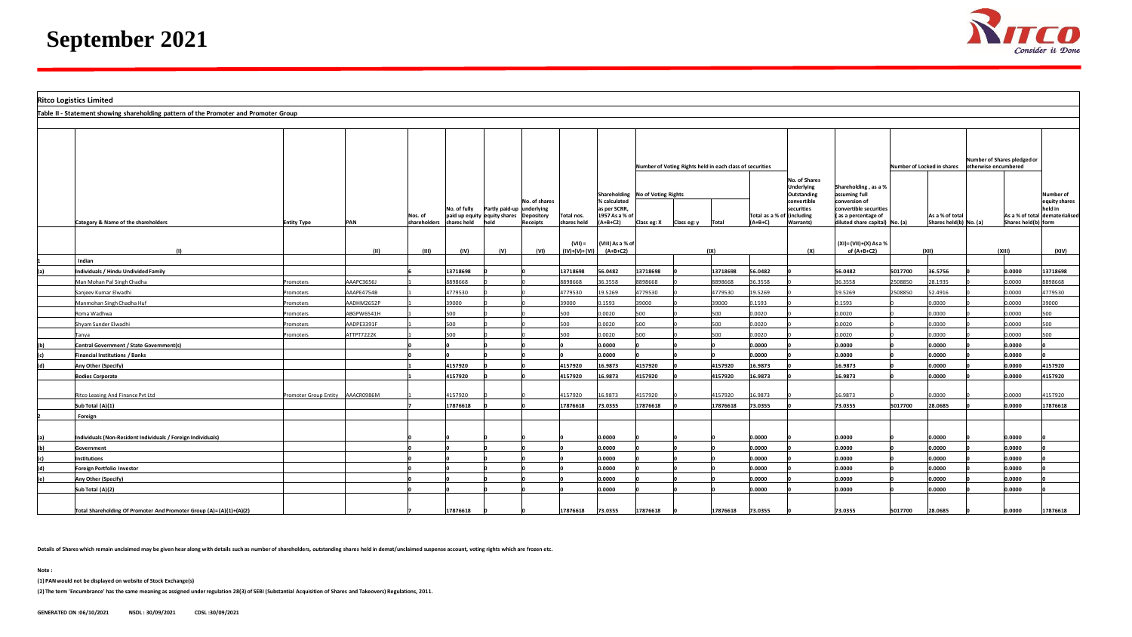

|     | <b>Ritco Logistics Limited</b>                                                       |                                  |            |                         |                                             |      |                             |                              |                                |                             |                                                          |          |                                         |                                            |                                                       |                                                   |                                           |                             |                     |                                |
|-----|--------------------------------------------------------------------------------------|----------------------------------|------------|-------------------------|---------------------------------------------|------|-----------------------------|------------------------------|--------------------------------|-----------------------------|----------------------------------------------------------|----------|-----------------------------------------|--------------------------------------------|-------------------------------------------------------|---------------------------------------------------|-------------------------------------------|-----------------------------|---------------------|--------------------------------|
|     | Table II - Statement showing shareholding pattern of the Promoter and Promoter Group |                                  |            |                         |                                             |      |                             |                              |                                |                             |                                                          |          |                                         |                                            |                                                       |                                                   |                                           |                             |                     |                                |
|     |                                                                                      |                                  |            |                         |                                             |      |                             |                              |                                |                             |                                                          |          |                                         |                                            |                                                       |                                                   |                                           |                             |                     |                                |
|     |                                                                                      |                                  |            |                         |                                             |      |                             |                              |                                |                             | Number of Voting Rights held in each class of securities |          |                                         |                                            |                                                       | Number of Locked in shares   otherwise encumbered |                                           | Number of Shares pledged or |                     |                                |
|     |                                                                                      |                                  |            |                         |                                             |      |                             |                              |                                |                             | Shareholding No of Voting Rights                         |          |                                         | No. of Shares<br>Underlying<br>Outstanding | Shareholding, as a %<br>assuming full                 |                                                   |                                           |                             |                     | Number of                      |
|     |                                                                                      |                                  |            |                         | No. of fully   Partly paid-up               |      | No. of shares<br>underlying |                              | % calculated<br>as per SCRR,   |                             |                                                          |          |                                         | convertible<br>securities                  | conversion of<br>convertible securities               |                                                   |                                           |                             |                     | equity shares<br>held in       |
|     | Category & Name of the shareholders                                                  | <b>Entity Type</b>               | PAN        | Nos. of<br>shareholders | paid up equity equity shares<br>shares held | held | Depository<br>Receipts      | Total nos.<br>shares held    | 1957 As a % of<br>$(A+B+C2)$   | Class eg: $X$ Class eg: $y$ |                                                          | Total    | Total as a % of (including<br>$(A+B+C)$ | Warrants)                                  | (as a percentage of<br>diluted share capital) No. (a) |                                                   | As a % of total<br>Shares held(b) No. (a) |                             | Shares held(b) form | As a % of total dematerialised |
|     |                                                                                      |                                  | (11)       | (III)                   | (IV)                                        | (v)  | (VI)                        | $(VII) =$<br>$(IV)+(V)+(VI)$ | (VIII) As a % of<br>$(A+B+C2)$ |                             |                                                          | (IX)     |                                         | (X)                                        | (XI)=(VII)+(X) As a %<br>of (A+B+C2)                  |                                                   | (XII)                                     |                             | (XIII)              | (XIV)                          |
|     | Indian                                                                               |                                  |            |                         |                                             |      |                             |                              |                                |                             |                                                          |          |                                         |                                            |                                                       |                                                   |                                           |                             |                     |                                |
|     | Individuals / Hindu Undivided Family                                                 |                                  |            |                         | 13718698                                    |      |                             | 13718698                     | 56.0482                        | 13718698                    |                                                          | 13718698 | 56.0482                                 |                                            | 56.0482                                               | 5017700                                           | 36.5756                                   |                             | 0.0000              | 13718698                       |
|     | Man Mohan Pal Singh Chadha                                                           | Promoters                        | AAAPC3656J |                         | 8898668                                     |      |                             | 8898668                      | 36.3558                        | 8898668                     |                                                          | 8898668  | 36.3558                                 |                                            | 36.3558                                               | 2508850                                           | 28.1935                                   |                             | 0.0000              | 8898668                        |
|     | Sanjeev Kumar Elwadhi                                                                | Promoters                        | AAAPE4754B |                         | 4779530                                     |      |                             | 4779530                      | 19.5269                        | 4779530                     |                                                          | 4779530  | 19.5269                                 |                                            | 19.5269                                               | 508850                                            | 52.4916                                   |                             | 0.0000              | 4779530                        |
|     | Manmohan Singh Chadha Huf                                                            | Promoters                        | AADHM2652P |                         | 39000                                       |      |                             | 39000                        | 0.1593                         | 39000                       |                                                          | 39000    | 0.1593                                  |                                            | 0.1593                                                |                                                   | 0.0000                                    |                             | 0.0000              | 39000                          |
|     | Roma Wadhwa                                                                          | Promoters                        | ABGPW6541H |                         | 500                                         |      |                             | 500                          | 0.0020                         | 500                         |                                                          | 500      | 0.0020                                  |                                            | 0.0020                                                |                                                   | 0.0000                                    |                             | 0.0000              | 500                            |
|     | hyam Sunder Elwadhi                                                                  | romoters                         | AADPE3391F |                         | 500                                         |      |                             | 500                          | 0.0020                         | 500                         |                                                          | 500      | 0.0020                                  |                                            | 0.0020                                                |                                                   | 0000.0                                    |                             | 0.0000              | 500                            |
|     | Tanya                                                                                | Promoters                        | ATTPT7222K |                         | 500                                         |      |                             | 500                          | 0.0020                         | 500                         |                                                          | 500      | 0.0020                                  |                                            | 0.0020                                                |                                                   | 0.0000                                    |                             | 0.0000              | 500                            |
|     | Central Government / State Government(s)                                             |                                  |            |                         |                                             |      |                             |                              | 0.0000                         |                             |                                                          |          | 0.0000                                  |                                            | 0.0000                                                |                                                   | 0.0000                                    |                             | 0.0000              |                                |
|     | <b>Financial Institutions / Banks</b>                                                |                                  |            |                         |                                             |      |                             |                              | 0.0000                         |                             |                                                          |          | 0.0000                                  |                                            | 0.0000                                                |                                                   | 0.0000                                    |                             | 0.0000              |                                |
| (d) | Any Other (Specify)                                                                  |                                  |            |                         | 4157920                                     |      |                             | 4157920                      | 16.9873                        | 4157920                     |                                                          | 4157920  | 16.9873                                 |                                            | 16.9873                                               |                                                   | 0.0000                                    |                             | 0.0000              | 4157920                        |
|     | <b>Bodies Corporate</b>                                                              |                                  |            |                         | 1157920                                     |      |                             | 4157920                      | 16.9873                        | 4157920                     |                                                          | 4157920  | 16.9873                                 |                                            | 16.9873                                               |                                                   | 0.0000                                    |                             | 0.0000              | 4157920                        |
|     |                                                                                      |                                  |            |                         |                                             |      |                             |                              |                                |                             |                                                          |          |                                         |                                            |                                                       |                                                   |                                           |                             |                     |                                |
|     | Ritco Leasing And Finance Pvt Ltd                                                    | Promoter Group Entity AAACR0986M |            |                         | 157920                                      |      |                             | 4157920                      | 16.9873                        | 4157920                     |                                                          | 4157920  | 16.9873                                 |                                            | 16.9873                                               |                                                   | 0000.0                                    |                             | 0.0000              | 4157920                        |
|     | Sub Total (A)(1)                                                                     |                                  |            |                         | 17876618                                    |      |                             | 17876618                     | 73.0355                        | 17876618                    |                                                          | 17876618 | 73.0355                                 |                                            | 73.0355                                               | 5017700                                           | 28.0685                                   |                             | 0.0000              | 17876618                       |
|     | Foreign                                                                              |                                  |            |                         |                                             |      |                             |                              |                                |                             |                                                          |          |                                         |                                            |                                                       |                                                   |                                           |                             |                     |                                |
|     |                                                                                      |                                  |            |                         |                                             |      |                             |                              |                                |                             |                                                          |          |                                         |                                            |                                                       |                                                   |                                           |                             |                     |                                |
|     | Individuals (Non-Resident Individuals / Foreign Individuals)                         |                                  |            |                         |                                             |      |                             |                              | 0000.0                         |                             |                                                          |          | 0.0000                                  |                                            | 0.0000                                                |                                                   | 0.0000                                    |                             | 0.0000              |                                |
|     | Government                                                                           |                                  |            |                         |                                             |      |                             |                              | 0.0000                         |                             |                                                          |          | 0.0000                                  |                                            | 0.0000                                                |                                                   | 0.0000                                    |                             | 0.0000              |                                |
|     | <b>Institutions</b>                                                                  |                                  |            |                         |                                             |      |                             |                              | 0.0000                         |                             |                                                          |          | 0.0000                                  |                                            | 0.0000                                                |                                                   | 0.0000                                    |                             | 0.0000              |                                |
| (d) | Foreign Portfolio Investor                                                           |                                  |            |                         |                                             |      |                             |                              | 0000.0                         |                             |                                                          |          | 0.0000                                  |                                            | 0.0000                                                |                                                   | 0.0000                                    |                             | 0.0000              |                                |
| (e) | Any Other (Specify)                                                                  |                                  |            |                         |                                             |      |                             |                              | 0.0000                         |                             |                                                          |          | 0.0000                                  |                                            | 0000.0                                                |                                                   | 0.0000                                    |                             | 0.0000              |                                |
|     | Sub Total (A)(2)                                                                     |                                  |            |                         |                                             |      |                             |                              | 0.0000                         |                             |                                                          |          | 0.0000                                  |                                            | 0.0000                                                |                                                   | 0.0000                                    |                             | 0.0000              |                                |
|     |                                                                                      |                                  |            |                         |                                             |      |                             |                              |                                |                             |                                                          |          |                                         |                                            |                                                       |                                                   |                                           |                             |                     |                                |
|     | Total Shareholding Of Promoter And Promoter Group (A)=(A)(1)+(A)(2)                  |                                  |            |                         | 17876618                                    |      |                             | 17876618                     | 73.0355                        | 17876618                    |                                                          | 17876618 | 73.0355                                 |                                            | 73.0355                                               | 5017700                                           | 28.0685                                   |                             | 0.0000              | 17876618                       |

**Details of Shares which remain unclaimed may be given hear along with details such as number of shareholders, outstanding shares held in demat/unclaimed suspense account, voting rights which are frozen etc.**

**Note :**

**(1) PAN would not be displayed on website of Stock Exchange(s)** 

**(2) The term 'Encumbrance' has the same meaning as assigned under regulation 28(3) of SEBI (Substantial Acquisition of Shares and Takeovers) Regulations, 2011.**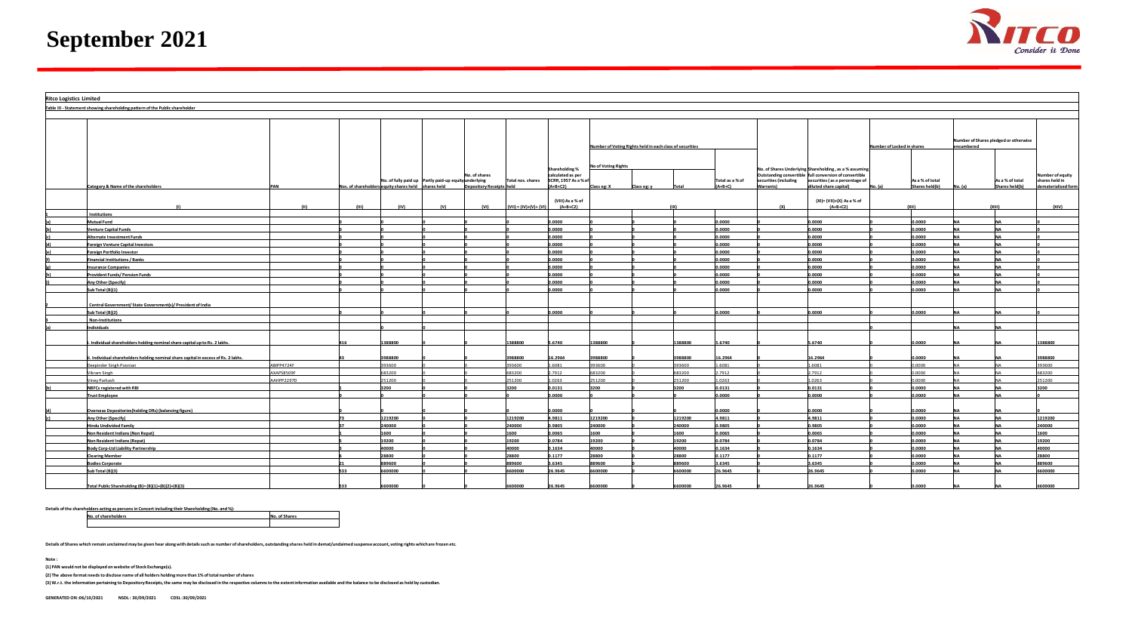

| <b>Ritco Logistics Limited</b> |                                                                                   |                  |       |                                                     |                                                                        |                                  |                         |                                                                                  |                                    |                                                          |         |                              |                                    |                                                                                                                                                                              |                            |                                   |            |                                       |                                                           |
|--------------------------------|-----------------------------------------------------------------------------------|------------------|-------|-----------------------------------------------------|------------------------------------------------------------------------|----------------------------------|-------------------------|----------------------------------------------------------------------------------|------------------------------------|----------------------------------------------------------|---------|------------------------------|------------------------------------|------------------------------------------------------------------------------------------------------------------------------------------------------------------------------|----------------------------|-----------------------------------|------------|---------------------------------------|-----------------------------------------------------------|
|                                | Table III - Statement showing shareholding pattern of the Public shareholder      |                  |       |                                                     |                                                                        |                                  |                         |                                                                                  |                                    |                                                          |         |                              |                                    |                                                                                                                                                                              |                            |                                   |            |                                       |                                                           |
|                                |                                                                                   |                  |       |                                                     |                                                                        |                                  |                         |                                                                                  |                                    |                                                          |         |                              |                                    |                                                                                                                                                                              |                            |                                   |            |                                       |                                                           |
|                                |                                                                                   |                  |       |                                                     |                                                                        |                                  |                         |                                                                                  |                                    | Number of Voting Rights held in each class of securities |         |                              |                                    |                                                                                                                                                                              | Number of Locked in shares |                                   | encumbered | Number of Shares pledged or otherwise |                                                           |
|                                | Category & Name of the shareholder                                                | PAN              |       | Nos. of shareholders equity shares held shares held | No. of shares<br>No. of fully paid up Partly paid-up equity underlying |                                  | Total nos. shares       | <b>Shareholding %</b><br>calculated as per<br>SCRR, 1957 As a % of<br>$(A+B+C2)$ | No of Voting Rights<br>Class eg: X | Class eg: y                                              |         | Total as a % of<br>$(A+B+C)$ | securities (including<br>Warrants) | No. of Shares Underlying Shareholding, as a % assuming<br>Outstanding convertible full conversion of convertible<br>securities (as a percentage of<br>diluted share capital) |                            | As a % of total<br>Shares held(b) |            | As a % of total<br>Shares held(b)     | Number of equity<br>shares held in<br>dematerialised form |
|                                |                                                                                   |                  | (III) | (IV)                                                | (V)                                                                    | Depository Receipts held<br>(VI) | $(VII) = (IV)+(V)+(VI)$ | (VIII) As a % of<br>$(A+B+C2)$                                                   |                                    |                                                          |         |                              | (X)                                | (XI)= (VII)+(X) As a % of<br>$(A+B+C2)$                                                                                                                                      |                            |                                   |            |                                       | (XIV)                                                     |
|                                | <b>Institutions</b>                                                               |                  |       |                                                     |                                                                        |                                  |                         |                                                                                  |                                    |                                                          |         |                              |                                    |                                                                                                                                                                              |                            |                                   |            |                                       |                                                           |
|                                | <b>Autual Fund</b>                                                                |                  |       |                                                     |                                                                        |                                  |                         | ,0000                                                                            |                                    |                                                          |         | 0000.                        |                                    | 0.0000                                                                                                                                                                       |                            | 0.0000                            |            |                                       |                                                           |
|                                | enture Capital Funds                                                              |                  |       |                                                     |                                                                        |                                  |                         | .0000                                                                            |                                    |                                                          |         | 0000.                        |                                    | 0.0000                                                                                                                                                                       |                            | 0.0000                            |            |                                       |                                                           |
|                                | <b>Uternate Investment Funds</b>                                                  |                  |       |                                                     |                                                                        |                                  |                         | .0000                                                                            |                                    |                                                          |         | 0000.                        |                                    | 0.0000                                                                                                                                                                       |                            | 0.0000                            |            |                                       |                                                           |
|                                | oreign Venture Capital Investors                                                  |                  |       |                                                     |                                                                        |                                  |                         | 0000.0                                                                           |                                    |                                                          |         | 0.0000                       |                                    | 0.0000                                                                                                                                                                       |                            | 0.0000                            |            |                                       |                                                           |
|                                | oreign Portfolio Investor                                                         |                  |       |                                                     |                                                                        |                                  |                         | .0000                                                                            |                                    |                                                          |         | 0000.                        |                                    | 0.0000                                                                                                                                                                       |                            | 0.0000                            |            |                                       |                                                           |
|                                | inancial Institutions / Banks                                                     |                  |       |                                                     |                                                                        |                                  |                         | ,0000                                                                            |                                    |                                                          |         | 0000.                        |                                    | 0000.0                                                                                                                                                                       |                            | 0.0000                            |            |                                       |                                                           |
|                                | Insurance Companies                                                               |                  |       |                                                     |                                                                        |                                  |                         | 0.0000                                                                           |                                    |                                                          |         | 0.0000                       |                                    | 0.0000                                                                                                                                                                       |                            | 0.0000                            | <b>NIA</b> |                                       |                                                           |
|                                | Provident Funds/Pension Funds                                                     |                  |       |                                                     |                                                                        |                                  |                         | 0000.                                                                            |                                    |                                                          |         | 0.0000                       |                                    | 0.0000                                                                                                                                                                       |                            | 0.0000                            |            |                                       |                                                           |
|                                | <b>Any Other (Specify)</b>                                                        |                  |       |                                                     |                                                                        |                                  |                         | .0000                                                                            |                                    |                                                          |         | 0000.                        |                                    | 0.0000                                                                                                                                                                       |                            | 0.0000                            |            |                                       |                                                           |
|                                | Sub Total (B)(1)                                                                  |                  |       |                                                     |                                                                        |                                  |                         | 0000.0                                                                           |                                    |                                                          |         | 0000.0                       |                                    | 0.0000                                                                                                                                                                       |                            | 0.0000                            |            |                                       |                                                           |
|                                | Central Government/ State Government(s)/ President of India                       |                  |       |                                                     |                                                                        |                                  |                         |                                                                                  |                                    |                                                          |         |                              |                                    |                                                                                                                                                                              |                            |                                   |            |                                       |                                                           |
|                                | ub Total (B)(2)                                                                   |                  |       |                                                     |                                                                        |                                  |                         | 0000                                                                             |                                    |                                                          |         | 0000.                        |                                    | 0.0000                                                                                                                                                                       |                            | 0.0000                            |            |                                       |                                                           |
|                                | <b>Non-Institutions</b>                                                           |                  |       |                                                     |                                                                        |                                  |                         |                                                                                  |                                    |                                                          |         |                              |                                    |                                                                                                                                                                              |                            |                                   |            |                                       |                                                           |
|                                | ndividuals                                                                        |                  |       |                                                     |                                                                        |                                  |                         |                                                                                  |                                    |                                                          |         |                              |                                    |                                                                                                                                                                              |                            |                                   |            |                                       |                                                           |
|                                | . Individual shareholders holding nominal share capital up to Rs. 2 lakhs.        |                  |       | 388800                                              |                                                                        |                                  | 388800                  | 6740                                                                             | 388800                             |                                                          | 388800  | .6740                        |                                    | .6740                                                                                                                                                                        |                            | .0000                             |            |                                       | 388800                                                    |
|                                | . Individual shareholders holding nominal share capital in excess of Rs. 2 lakhs. |                  |       | 988800                                              |                                                                        |                                  | 988800                  | 6.2964                                                                           | 988800                             |                                                          | 3988800 | 6.2964                       |                                    | 6.2964                                                                                                                                                                       |                            | 0.0000                            |            |                                       | 3988800                                                   |
|                                | Deepinder Singh Poonian                                                           | ABIPP4724F       |       | 393600                                              |                                                                        |                                  | 93600                   | .6081                                                                            | 393600                             |                                                          | 393600  | .6081                        |                                    | 1.6081                                                                                                                                                                       |                            | 0.0000                            |            |                                       | 393600                                                    |
|                                | Vikram Singh                                                                      | <b>XAPS8509F</b> |       | 683200                                              |                                                                        |                                  | 83200                   | .7912                                                                            | 683200                             |                                                          | 683200  | .7912                        |                                    | 2.7912                                                                                                                                                                       |                            | 0.0000                            |            |                                       | 683200                                                    |
|                                | ney Parkash                                                                       | AHPP2297D        |       | 251200                                              |                                                                        |                                  | 51200                   | .0263                                                                            | 251200                             |                                                          | 251200  | .0263                        |                                    | 1.0263                                                                                                                                                                       |                            | 0.0000                            |            |                                       | 251200                                                    |
|                                | NBFCs registered with RBI                                                         |                  |       | 3200                                                |                                                                        |                                  | 3200                    | 0.0131                                                                           | 3200                               |                                                          | 3200    | 0.0131                       |                                    | 0.0131                                                                                                                                                                       |                            | 0.0000                            |            |                                       | 3200                                                      |
|                                | <b>Trust Employee</b>                                                             |                  |       |                                                     |                                                                        |                                  |                         | .0000                                                                            |                                    |                                                          |         | 0.0000                       |                                    | 0.0000                                                                                                                                                                       |                            | 0.0000                            |            |                                       |                                                           |
|                                | <b>Overseas Depositories(holding DRs) (balancing figure)</b>                      |                  |       |                                                     |                                                                        |                                  |                         | 0000.0                                                                           |                                    |                                                          |         | 0000.                        |                                    | 0.0000                                                                                                                                                                       |                            | 0.0000                            |            |                                       |                                                           |
|                                | Iny Other (Specify)                                                               |                  |       | 1219200                                             |                                                                        |                                  | 219200                  | .9811                                                                            | 1219200                            |                                                          | 1219200 | .9811                        |                                    | 4.9811                                                                                                                                                                       |                            | 0.0000                            |            |                                       | 1219200                                                   |
|                                | <b>Indu Undivided Family</b>                                                      |                  |       | 40000                                               |                                                                        |                                  | 10000                   | 9805                                                                             | 40000                              |                                                          | 40000   | .9805                        |                                    | 0.9805                                                                                                                                                                       |                            | 0.0000                            |            |                                       | 240000                                                    |
|                                | <b>Jon Resident Indians (Non Repat)</b>                                           |                  |       | <b>L600</b>                                         |                                                                        |                                  | 600                     | 0.0065                                                                           | 1600                               |                                                          | 1600    | 0.0065                       |                                    | 0.0065                                                                                                                                                                       |                            | 0.0000                            |            |                                       | 1600                                                      |
|                                | <b>Non Resident Indians (Repat)</b>                                               |                  |       | 19200                                               |                                                                        |                                  | 19200                   | 0.784                                                                            | 19200                              |                                                          | 19200   | 0.0784                       |                                    | 0.0784                                                                                                                                                                       |                            | 0.0000                            |            |                                       | 19200                                                     |
|                                | <b>Sody Corp-Ltd Liability Partnership</b>                                        |                  |       | 40000                                               |                                                                        |                                  | 10000                   | .1634                                                                            | 40000                              |                                                          | 40000   | 1634                         |                                    | 0.1634                                                                                                                                                                       |                            | 0.0000                            |            |                                       | 40000                                                     |
|                                | Clearing Member                                                                   |                  |       | 28800                                               |                                                                        |                                  | 8800                    | .1177                                                                            | 28800                              |                                                          | 28800   | 1177                         |                                    | 0.1177                                                                                                                                                                       |                            | 0.0000                            |            |                                       | 28800                                                     |
|                                | <b>Sodies Corporate</b>                                                           |                  |       | 89600                                               |                                                                        |                                  | 89600                   | 6345                                                                             | 89600                              |                                                          | 89600   | .6345                        |                                    | .6345                                                                                                                                                                        |                            | .0000                             |            |                                       | 389600                                                    |
|                                | ub Total (B)(3)                                                                   |                  |       | 600000                                              |                                                                        |                                  | 500000                  | 6.9645                                                                           | 600000                             |                                                          | 600000  | 6.9645                       |                                    | 26.9645                                                                                                                                                                      |                            | 0000.0                            |            |                                       | 6600000                                                   |
|                                | Total Public Shareholding (B)= (B)(1)+(B)(2)+(B)(3)                               |                  |       | 600000                                              |                                                                        |                                  | 600000                  | 26.9645                                                                          | 600000                             |                                                          | 6600000 | 26.9645                      |                                    | 26.9645                                                                                                                                                                      |                            | 0.0000                            |            |                                       | 6600000                                                   |

**Details of the shareholders acting as persons in Concert including their Shareholding (No. and %):**

**No. of shareholders No. of Shares**

**Details of Shares which remain unclaimed may be given hear along with details such as number of shareholders, outstanding shares held in demat/unclaimed suspense account, voting rights which are frozen etc.**

**Note :**

**(1) PAN would not be displayed on website of Stock Exchange(s).** 

**(2) The above format needs to disclose name of all holders holding more than 1% of total number of shares**

**(3) W.r.t. the information pertaining to Depository Receipts, the same may be disclosed in the respective columns to the extent information available and the balance to be disclosed as held by custodian.**